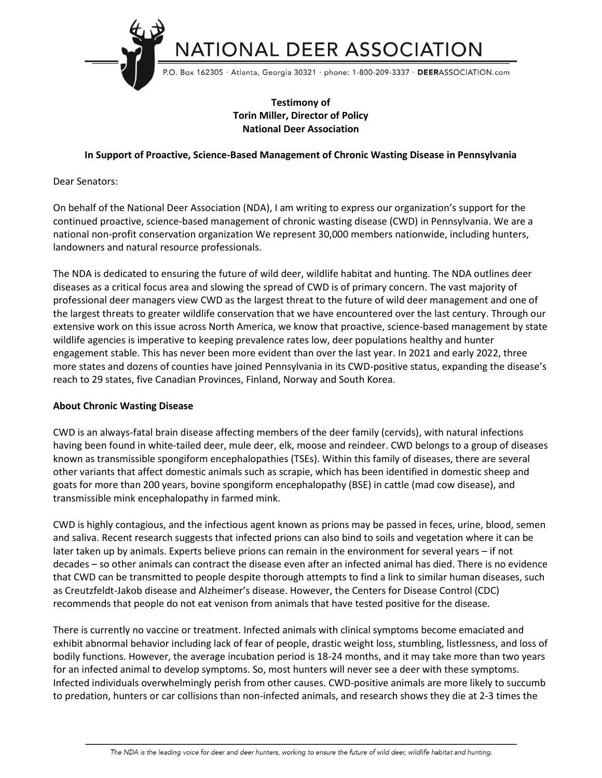

# **Testimony of Torin Miller, Director of Policy National Deer Association**

## **In Support of Proactive, Science-Based Management of Chronic Wasting Disease in Pennsylvania**

## Dear Senators:

On behalf of the National Deer Association (NDA), I am writing to express our organization's support for the continued proactive, science-based management of chronic wasting disease (CWD) in Pennsylvania. We are a national non-profit conservation organization We represent 30,000 members nationwide, including hunters, landowners and natural resource professionals.

The NDA is dedicated to ensuring the future of wild deer, wildlife habitat and hunting. The NDA outlines deer diseases as a critical focus area and slowing the spread of CWD is of primary concern. The vast majority of professional deer managers view CWD as the largest threat to the future of wild deer management and one of the largest threats to greater wildlife conservation that we have encountered over the last century. Through our extensive work on this issue across North America, we know that proactive, science-based management by state wildlife agencies is imperative to keeping prevalence rates low, deer populations healthy and hunter engagement stable. This has never been more evident than over the last year. In 2021 and early 2022, three more states and dozens of counties have joined Pennsylvania in its CWD-positive status, expanding the disease's reach to 29 states, five Canadian Provinces, Finland, Norway and South Korea.

## **About Chronic Wasting Disease**

CWD is an always-fatal brain disease affecting members of the deer family (cervids), with natural infections having been found in white-tailed deer, mule deer, elk, moose and reindeer. CWD belongs to a group of diseases known as transmissible spongiform encephalopathies (TSEs). Within this family of diseases, there are several other variants that affect domestic animals such as scrapie, which has been identified in domestic sheep and goats for more than 200 years, bovine spongiform encephalopathy (BSE) in cattle (mad cow disease), and transmissible mink encephalopathy in farmed mink.

CWD is highly contagious, and the infectious agent known as prions may be passed in feces, urine, blood, semen and saliva. Recent research suggests that infected prions can also bind to soils and vegetation where it can be later taken up by animals. Experts believe prions can remain in the environment for several years – if not decades – so other animals can contract the disease even after an infected animal has died. There is no evidence that CWD can be transmitted to people despite thorough attempts to find a link to similar human diseases, such as Creutzfeldt-Jakob disease and Alzheimer's disease. However, the Centers for Disease Control (CDC) recommends that people do not eat venison from animals that have tested positive for the disease.

There is currently no vaccine or treatment. Infected animals with clinical symptoms become emaciated and exhibit abnormal behavior including lack of fear of people, drastic weight loss, stumbling, listlessness, and loss of bodily functions. However, the average incubation period is 18-24 months, and it may take more than two years for an infected animal to develop symptoms. So, most hunters will never see a deer with these symptoms. Infected individuals overwhelmingly perish from other causes. CWD-positive animals are more likely to succumb to predation, hunters or car collisions than non-infected animals, and research shows they die at 2-3 times the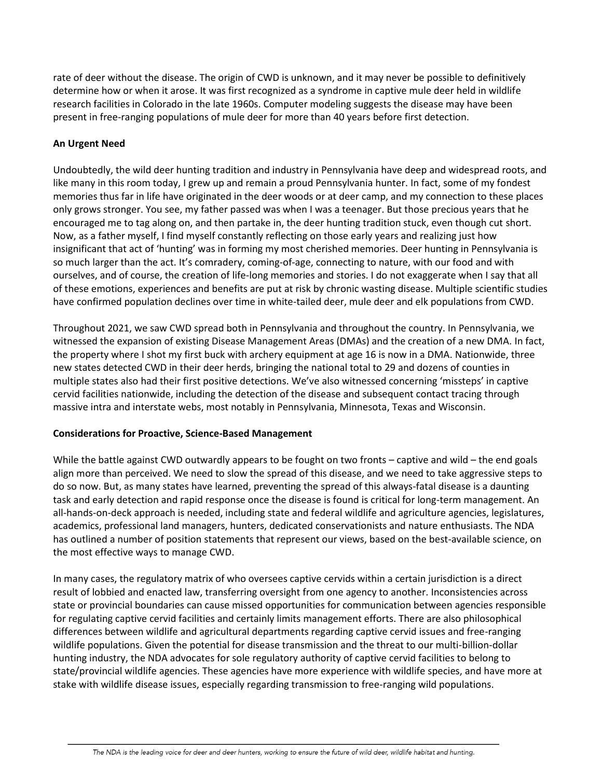rate of deer without the disease. The origin of CWD is unknown, and it may never be possible to definitively determine how or when it arose. It was first recognized as a syndrome in captive mule deer held in wildlife research facilities in Colorado in the late 1960s. Computer modeling suggests the disease may have been present in free-ranging populations of mule deer for more than 40 years before first detection.

## **An Urgent Need**

Undoubtedly, the wild deer hunting tradition and industry in Pennsylvania have deep and widespread roots, and like many in this room today, I grew up and remain a proud Pennsylvania hunter. In fact, some of my fondest memories thus far in life have originated in the deer woods or at deer camp, and my connection to these places only grows stronger. You see, my father passed was when I was a teenager. But those precious years that he encouraged me to tag along on, and then partake in, the deer hunting tradition stuck, even though cut short. Now, as a father myself, I find myself constantly reflecting on those early years and realizing just how insignificant that act of 'hunting' was in forming my most cherished memories. Deer hunting in Pennsylvania is so much larger than the act. It's comradery, coming-of-age, connecting to nature, with our food and with ourselves, and of course, the creation of life-long memories and stories. I do not exaggerate when I say that all of these emotions, experiences and benefits are put at risk by chronic wasting disease. Multiple scientific studies have confirmed population declines over time in white-tailed deer, mule deer and elk populations from CWD.

Throughout 2021, we saw CWD spread both in Pennsylvania and throughout the country. In Pennsylvania, we witnessed the expansion of existing Disease Management Areas (DMAs) and the creation of a new DMA. In fact, the property where I shot my first buck with archery equipment at age 16 is now in a DMA. Nationwide, three new states detected CWD in their deer herds, bringing the national total to 29 and dozens of counties in multiple states also had their first positive detections. We've also witnessed concerning 'missteps' in captive cervid facilities nationwide, including the detection of the disease and subsequent contact tracing through massive intra and interstate webs, most notably in Pennsylvania, Minnesota, Texas and Wisconsin.

## **Considerations for Proactive, Science-Based Management**

While the battle against CWD outwardly appears to be fought on two fronts – captive and wild – the end goals align more than perceived. We need to slow the spread of this disease, and we need to take aggressive steps to do so now. But, as many states have learned, preventing the spread of this always-fatal disease is a daunting task and early detection and rapid response once the disease is found is critical for long-term management. An all-hands-on-deck approach is needed, including state and federal wildlife and agriculture agencies, legislatures, academics, professional land managers, hunters, dedicated conservationists and nature enthusiasts. The NDA has outlined a number of position statements that represent our views, based on the best-available science, on the most effective ways to manage CWD.

In many cases, the regulatory matrix of who oversees captive cervids within a certain jurisdiction is a direct result of lobbied and enacted law, transferring oversight from one agency to another. Inconsistencies across state or provincial boundaries can cause missed opportunities for communication between agencies responsible for regulating captive cervid facilities and certainly limits management efforts. There are also philosophical differences between wildlife and agricultural departments regarding captive cervid issues and free-ranging wildlife populations. Given the potential for disease transmission and the threat to our multi-billion-dollar hunting industry, the NDA advocates for sole regulatory authority of captive cervid facilities to belong to state/provincial wildlife agencies. These agencies have more experience with wildlife species, and have more at stake with wildlife disease issues, especially regarding transmission to free-ranging wild populations.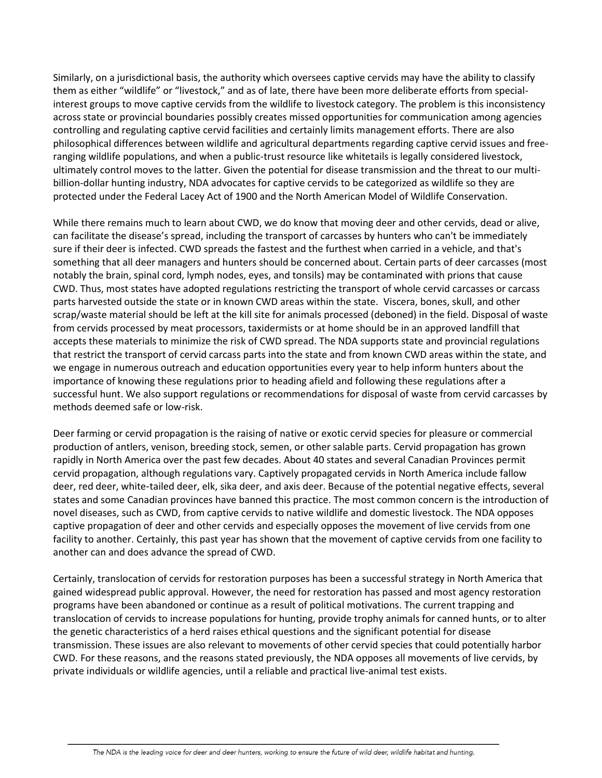Similarly, on a jurisdictional basis, the authority which oversees captive cervids may have the ability to classify them as either "wildlife" or "livestock," and as of late, there have been more deliberate efforts from specialinterest groups to move captive cervids from the wildlife to livestock category. The problem is this inconsistency across state or provincial boundaries possibly creates missed opportunities for communication among agencies controlling and regulating captive cervid facilities and certainly limits management efforts. There are also philosophical differences between wildlife and agricultural departments regarding captive cervid issues and freeranging wildlife populations, and when a public-trust resource like whitetails is legally considered livestock, ultimately control moves to the latter. Given the potential for disease transmission and the threat to our multibillion-dollar hunting industry, NDA advocates for captive cervids to be categorized as wildlife so they are protected under the Federal Lacey Act of 1900 and the North American Model of Wildlife Conservation.

While there remains much to learn about CWD, we do know that moving deer and other cervids, dead or alive, can facilitate the disease's spread, including the transport of carcasses by hunters who can't be immediately sure if their deer is infected. CWD spreads the fastest and the furthest when carried in a vehicle, and that's something that all deer managers and hunters should be concerned about. Certain parts of deer carcasses (most notably the brain, spinal cord, lymph nodes, eyes, and tonsils) may be contaminated with prions that cause CWD. Thus, most states have adopted regulations restricting the transport of whole cervid carcasses or carcass parts harvested outside the state or in known CWD areas within the state. Viscera, bones, skull, and other scrap/waste material should be left at the kill site for animals processed (deboned) in the field. Disposal of waste from cervids processed by meat processors, taxidermists or at home should be in an approved landfill that accepts these materials to minimize the risk of CWD spread. The NDA supports state and provincial regulations that restrict the transport of cervid carcass parts into the state and from known CWD areas within the state, and we engage in numerous outreach and education opportunities every year to help inform hunters about the importance of knowing these regulations prior to heading afield and following these regulations after a successful hunt. We also support regulations or recommendations for disposal of waste from cervid carcasses by methods deemed safe or low-risk.

Deer farming or cervid propagation is the raising of native or exotic cervid species for pleasure or commercial production of antlers, venison, breeding stock, semen, or other salable parts. Cervid propagation has grown rapidly in North America over the past few decades. About 40 states and several Canadian Provinces permit cervid propagation, although regulations vary. Captively propagated cervids in North America include fallow deer, red deer, white-tailed deer, elk, sika deer, and axis deer. Because of the potential negative effects, several states and some Canadian provinces have banned this practice. The most common concern is the introduction of novel diseases, such as CWD, from captive cervids to native wildlife and domestic livestock. The NDA opposes captive propagation of deer and other cervids and especially opposes the movement of live cervids from one facility to another. Certainly, this past year has shown that the movement of captive cervids from one facility to another can and does advance the spread of CWD.

Certainly, translocation of cervids for restoration purposes has been a successful strategy in North America that gained widespread public approval. However, the need for restoration has passed and most agency restoration programs have been abandoned or continue as a result of political motivations. The current trapping and translocation of cervids to increase populations for hunting, provide trophy animals for canned hunts, or to alter the genetic characteristics of a herd raises ethical questions and the significant potential for disease transmission. These issues are also relevant to movements of other cervid species that could potentially harbor CWD. For these reasons, and the reasons stated previously, the NDA opposes all movements of live cervids, by private individuals or wildlife agencies, until a reliable and practical live-animal test exists.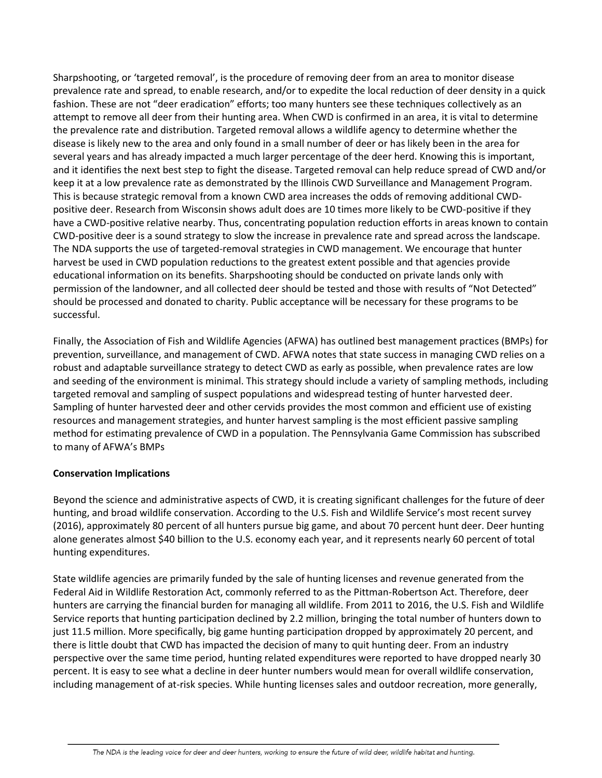Sharpshooting, or 'targeted removal', is the procedure of removing deer from an area to monitor disease prevalence rate and spread, to enable research, and/or to expedite the local reduction of deer density in a quick fashion. These are not "deer eradication" efforts; too many hunters see these techniques collectively as an attempt to remove all deer from their hunting area. When CWD is confirmed in an area, it is vital to determine the prevalence rate and distribution. Targeted removal allows a wildlife agency to determine whether the disease is likely new to the area and only found in a small number of deer or has likely been in the area for several years and has already impacted a much larger percentage of the deer herd. Knowing this is important, and it identifies the next best step to fight the disease. Targeted removal can help reduce spread of CWD and/or keep it at a low prevalence rate as demonstrated by the Illinois CWD Surveillance and Management Program. This is because strategic removal from a known CWD area increases the odds of removing additional CWDpositive deer. Research from Wisconsin shows adult does are 10 times more likely to be CWD-positive if they have a CWD-positive relative nearby. Thus, concentrating population reduction efforts in areas known to contain CWD-positive deer is a sound strategy to slow the increase in prevalence rate and spread across the landscape. The NDA supports the use of targeted-removal strategies in CWD management. We encourage that hunter harvest be used in CWD population reductions to the greatest extent possible and that agencies provide educational information on its benefits. Sharpshooting should be conducted on private lands only with permission of the landowner, and all collected deer should be tested and those with results of "Not Detected" should be processed and donated to charity. Public acceptance will be necessary for these programs to be successful.

Finally, the Association of Fish and Wildlife Agencies (AFWA) has outlined best management practices (BMPs) for prevention, surveillance, and management of CWD. AFWA notes that state success in managing CWD relies on a robust and adaptable surveillance strategy to detect CWD as early as possible, when prevalence rates are low and seeding of the environment is minimal. This strategy should include a variety of sampling methods, including targeted removal and sampling of suspect populations and widespread testing of hunter harvested deer. Sampling of hunter harvested deer and other cervids provides the most common and efficient use of existing resources and management strategies, and hunter harvest sampling is the most efficient passive sampling method for estimating prevalence of CWD in a population. The Pennsylvania Game Commission has subscribed to many of AFWA's BMPs

## **Conservation Implications**

Beyond the science and administrative aspects of CWD, it is creating significant challenges for the future of deer hunting, and broad wildlife conservation. According to the U.S. Fish and Wildlife Service's most recent survey (2016), approximately 80 percent of all hunters pursue big game, and about 70 percent hunt deer. Deer hunting alone generates almost \$40 billion to the U.S. economy each year, and it represents nearly 60 percent of total hunting expenditures.

State wildlife agencies are primarily funded by the sale of hunting licenses and revenue generated from the Federal Aid in Wildlife Restoration Act, commonly referred to as the Pittman-Robertson Act. Therefore, deer hunters are carrying the financial burden for managing all wildlife. From 2011 to 2016, the U.S. Fish and Wildlife Service reports that hunting participation declined by 2.2 million, bringing the total number of hunters down to just 11.5 million. More specifically, big game hunting participation dropped by approximately 20 percent, and there is little doubt that CWD has impacted the decision of many to quit hunting deer. From an industry perspective over the same time period, hunting related expenditures were reported to have dropped nearly 30 percent. It is easy to see what a decline in deer hunter numbers would mean for overall wildlife conservation, including management of at-risk species. While hunting licenses sales and outdoor recreation, more generally,